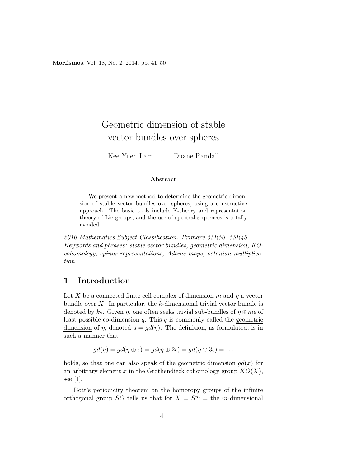Morfismos, Vol. 18, No. 2, 2014, pp. 41–50

# Geometric dimension of stable vector bundles over spheres

Kee Yuen Lam Duane Randall

#### Abstract

We present a new method to determine the geometric dimension of stable vector bundles over spheres, using a constructive approach. The basic tools include K-theory and representation theory of Lie groups, and the use of spectral sequences is totally avoided.

2010 Mathematics Subject Classification: Primary 55R50, 55R45. Keywords and phrases: stable vector bundles, geometric dimension, KOcohomology, spinor representations, Adams maps, octonian multiplication.

### 1 Introduction

Let X be a connected finite cell complex of dimension m and  $\eta$  a vector bundle over  $X$ . In particular, the  $k$ -dimensional trivial vector bundle is denoted by ke. Given  $\eta$ , one often seeks trivial sub-bundles of  $\eta \oplus m\epsilon$  of least possible co-dimension  $q$ . This  $q$  is commonly called the geometric dimension of  $\eta$ , denoted  $q = qd(\eta)$ . The definition, as formulated, is in such a manner that

$$
gd(\eta) = gd(\eta \oplus \epsilon) = gd(\eta \oplus 2\epsilon) = gd(\eta \oplus 3\epsilon) = \dots
$$

holds, so that one can also speak of the geometric dimension  $qd(x)$  for an arbitrary element x in the Grothendieck cohomology group  $KO(X)$ , see [1].

Bott's periodicity theorem on the homotopy groups of the infinite orthogonal group SO tells us that for  $X = S<sup>m</sup> =$  the *m*-dimensional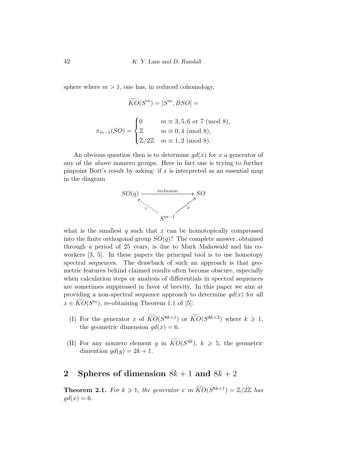sphere where  $m > 1$ , one has, in reduced cohomology,

$$
\widetilde{KO}(S^m) = [S^m, BSO] =
$$

$$
\pi_{m-1}(SO) = \begin{cases} 0 & m \equiv 3, 5, 6 \text{ or } 7 \pmod{8}, \\ \mathbb{Z} & m \equiv 0, 4 \pmod{8}, \\ \mathbb{Z}/2\mathbb{Z} & m \equiv 1, 2 \pmod{8}. \end{cases}
$$

An obvious question then is to determine  $gd(x)$  for x a generator of any of the above nonzero groups. Here in fact one is trying to further pinpoint Bott's result by asking: if  $x$  is interpreted as an essential map in the diagram



what is the smallest q such that  $x$  can be homotopically compressed into the finite orthogonal group  $SO(q)$ ? The complete answer, obtained through a period of 25 years, is due to Mark Mahowald and his coworkers [3, 5]. In these papers the principal tool is to use homotopy spectral sequences. The drawback of such an approach is that geometric features behind claimed results often become obscure, especially when calculation steps or analysis of differentials in spectral sequences are sometimes suppressed in favor of brevity. In this paper we aim at providing a non-spectral sequence approach to determine  $gd(x)$  for all  $x \in \widetilde{KO}(S^m)$ , re-obtaining Theorem 1.1 of [5]:

- (I) For the generator x of  $\widetilde{KO}(S^{8k+1})$  or  $\widetilde{KO}(S^{8k+2})$  where  $k \geq 1$ , the geometric dimension  $gd(x) = 6$ .
- (II) For any nonzero element y in  $\widetilde{KO}(S^{4k})$ ,  $k \geq 5$ , the geometric dimention  $gd(y) = 2k + 1$ .

## 2 Spheres of dimension  $8k + 1$  and  $8k + 2$

**Theorem 2.1.** For  $k \geq 1$ , the generator x in  $\widetilde{KO}(S^{8k+1}) = \mathbb{Z}/2\mathbb{Z}$  has  $gd(x)=6.$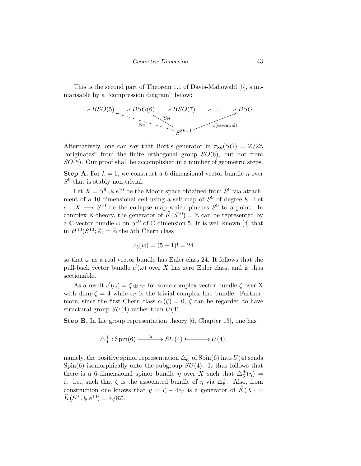This is the second part of Theorem 1.1 of Davis-Mahowald [5], summarisable by a "compression diagram" below:

$$
\longrightarrow BSO(5) \longrightarrow BSO(6) \longrightarrow BSO(7) \longrightarrow \dots \longrightarrow BSO(5)
$$
  
Yes  

$$
\overbrace{N_0} \longrightarrow \overbrace{S^{8k+1}}
$$
 x(essential)

Alternatively, one can say that Bott's generator in  $\pi_{8k}(SO) = \mathbb{Z}/2\mathbb{Z}$ "originates" from the finite orthogonal group  $SO(6)$ , but not from  $SO(5)$ . Our proof shall be accomplished in a number of geometric steps.

**Step A.** For  $k = 1$ , we construct a 6-dimensional vector bundle  $\eta$  over  $S^9$  that is stably non-trivial.

Let  $X = S^9 \cup_8 e^{10}$  be the Moore space obtained from  $S^9$  via attachment of a 10-dimensional cell using a self-map of  $S<sup>9</sup>$  of degree 8. Let  $c: X \longrightarrow S^{10}$  be the collapse map which pinches  $S^9$  to a point. In complex K-theory, the generator of  $\widetilde{K}(S^{10}) = \mathbb{Z}$  can be represented by a C-vector bundle  $\omega$  on  $S^{10}$  of C-dimension 5. It is well-known [4] that in  $H^{10}(S^{10};\mathbb{Z})=\mathbb{Z}$  the 5th Chern class

$$
c_5(w) = (5-1)! = 24
$$

so that  $\omega$  as a real vector bundle has Euler class 24. It follows that the pull-back vector bundle  $c^{\dagger}(\omega)$  over X has zero Euler class, and is thus sectionable.

As a result  $c^{\dagger}(\omega) = \zeta \oplus \epsilon_{\mathbb{C}}$  for some complex vector bundle  $\zeta$  over X with dim<sub>C</sub>  $\zeta = 4$  while  $\epsilon_{\mathbb{C}}$  is the trivial complex line bundle. Furthermore, since the first Chern class  $c_1(\zeta) = 0$ ,  $\zeta$  can be regarded to have structural group  $SU(4)$  rather than  $U(4)$ .

Step B. In Lie group representation theory [6, Chapter 13], one has

$$
\triangle^+_6: \mathrm{Spin}(6) \xrightarrow{\phantom{array}\qquad \approx \phantom{array}} SU(4) \xrightarrow{\phantom{array}\qquad \qquad } U(4),
$$

namely, the positive spinor representation  $\triangle^+_6$  of  $\mathrm{Spin}(6)$  into  $U(4)$  sends  $Spin(6)$  isomorphically onto the subgroup  $SU(4)$ . It thus follows that there is a 6-dimensional spinor bundle  $\eta$  over X such that  $\Delta_6^+(\eta)$  =  $\zeta$ . i.e., such that  $\zeta$  is the associated bundle of  $\eta$  via  $\triangle_6^+$ . Also, from construction one knows that  $y = \zeta - 4\epsilon_{\mathbb{C}}$  is a generator of  $\widetilde{K}(X) =$  $\widetilde{K}(S^9 \cup_8 e^{10}) = \mathbb{Z}/8\mathbb{Z}.$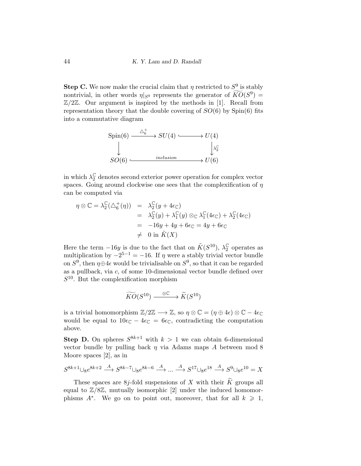**Step C.** We now make the crucial claim that  $\eta$  restricted to  $S^9$  is stably nontrivial, in other words  $\eta|_{S^9}$  represents the generator of  $\widetilde{KO}(S^9) =$  $\mathbb{Z}/2\mathbb{Z}$ . Our argument is inspired by the methods in [1]. Recall from representation theory that the double covering of  $SO(6)$  by  $Spin(6)$  fits into a commutative diagram



in which  $\lambda_2^{\mathbb{C}}$  denotes second exterior power operation for complex vector spaces. Going around clockwise one sees that the complexification of  $\eta$ can be computed via

$$
\eta \otimes \mathbb{C} = \lambda_2^{\mathbb{C}}(\Delta_6^+(\eta)) = \lambda_2^{\mathbb{C}}(y + 4\epsilon_{\mathbb{C}})
$$
  
\n
$$
= \lambda_2^{\mathbb{C}}(y) + \lambda_1^{\mathbb{C}}(y) \otimes_{\mathbb{C}} \lambda_1^{\mathbb{C}}(4\epsilon_{\mathbb{C}}) + \lambda_2^{\mathbb{C}}(4\epsilon_{\mathbb{C}})
$$
  
\n
$$
= -16y + 4y + 6\epsilon_{\mathbb{C}} = 4y + 6\epsilon_{\mathbb{C}}
$$
  
\n
$$
\neq 0 \text{ in } \tilde{K}(X)
$$

Here the term  $-16y$  is due to the fact that on  $\tilde{K}(S^{10})$ ,  $\lambda_2^{\mathbb{C}}$  $_{2}^{\mathbb{C}}$  operates as multiplication by  $-2^{5-1} = -16$ . If  $\eta$  were a stably trivial vector bundle on  $S^9$ , then  $\eta \oplus 4\epsilon$  would be trivialisable on  $S^9$ , so that it can be regarded as a pullback, via c, of some 10-dimensional vector bundle defined over  $S^{10}$ . But the complexification morphism

$$
\widetilde{KO}(S^{10}) \xrightarrow{\phantom{X} \otimes \mathbb{C}} \widetilde{K}(S^{10})
$$

is a trivial homomorphism  $\mathbb{Z}/2\mathbb{Z} \longrightarrow \mathbb{Z}$ , so  $\eta \otimes \mathbb{C} = (\eta \oplus 4\epsilon) \otimes \mathbb{C} - 4\epsilon_{\mathbb{C}}$ would be equal to  $10\epsilon_{\mathbb{C}} - 4\epsilon_{\mathbb{C}} = 6\epsilon_{\mathbb{C}}$ , contradicting the computation above.

**Step D.** On spheres  $S^{8k+1}$  with  $k > 1$  we can obtain 6-dimensional vector bundle by pulling back  $\eta$  via Adams maps A between mod 8 Moore spaces [2], as in

$$
S^{8k+1} \cup_{8} e^{8k+2} \xrightarrow{A} S^{8k-7} \cup_{8} e^{8k-6} \xrightarrow{A} \dots \xrightarrow{A} S^{17} \cup_{8} e^{18} \xrightarrow{A} S^{9} \cup_{8} e^{10} = X
$$

These spaces are 8j-fold suspensions of X with their  $\widetilde{K}$  groups all equal to  $\mathbb{Z}/8\mathbb{Z}$ , mutually isomorphic [2] under the induced homomorphisms  $A^*$ . We go on to point out, moreover, that for all  $k \geq 1$ ,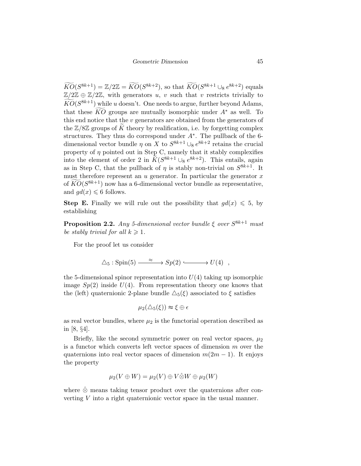$\widetilde{KO}(S^{8k+1}) = \mathbb{Z}/2\mathbb{Z} = \widetilde{KO}(S^{8k+2}),$  so that  $\widetilde{KO}(S^{8k+1} \cup_8 e^{8k+2})$  equals  $\mathbb{Z}/2\mathbb{Z} \oplus \mathbb{Z}/2\mathbb{Z}$ , with generators u, v such that v restricts trivially to  $\widetilde{KO}(S^{8k+1})$  while u doesn't. One needs to argue, further beyond Adams, that these  $\overline{KO}$  groups are mutually isomorphic under  $A^*$  as well. To this end notice that the  $v$  generators are obtained from the generators of the  $\mathbb{Z}/8\mathbb{Z}$  groups of K theory by realification, i.e. by forgetting complex structures. They thus do correspond under  $A^*$ . The pullback of the 6dimensional vector bundle  $\eta$  on X to  $S^{8k+1} \cup_{\mathfrak{g}} e^{8k+2}$  retains the crucial property of  $\eta$  pointed out in Step C, namely that it stably complexifies into the element of order 2 in  $\widetilde{K}(S^{8k+1} \cup_8 e^{8k+2})$ . This entails, again as in Step C, that the pullback of  $\eta$  is stably non-trivial on  $S^{8k+1}$ . It must therefore represent an  $u$  generator. In particular the generator  $x$ of  $\widetilde{KO}(S^{8k+1})$  now has a 6-dimensional vector bundle as representative, and  $qd(x) \leq 6$  follows.

**Step E.** Finally we will rule out the possibility that  $gd(x) \leq 5$ , by establishing

**Proposition 2.2.** Any 5-dimensional vector bundle  $\xi$  over  $S^{8k+1}$  must be stably trivial for all  $k \geq 1$ .

For the proof let us consider

$$
\Delta_5: \mathrm{Spin}(5) \xrightarrow{\phantom{A^A}} Sp(2) \xrightarrow{\phantom{A^A}} U(4) ,
$$

the 5-dimensional spinor representation into  $U(4)$  taking up isomorphic image  $Sp(2)$  inside  $U(4)$ . From representation theory one knows that the (left) quaternionic 2-plane bundle  $\Delta_5(\xi)$  associated to  $\xi$  satisfies

$$
\mu_2(\triangle_5(\xi)) \approx \xi \oplus \epsilon
$$

as real vector bundles, where  $\mu_2$  is the functorial operation described as in [8, §4].

Briefly, like the second symmetric power on real vector spaces,  $\mu_2$ is a functor which converts left vector spaces of dimension m over the quaternions into real vector spaces of dimension  $m(2m-1)$ . It enjoys the property

$$
\mu_2(V \oplus W) = \mu_2(V) \oplus V \hat{\otimes} W \oplus \mu_2(W)
$$

where  $\hat{\otimes}$  means taking tensor product over the quaternions after converting  $V$  into a right quaternionic vector space in the usual manner.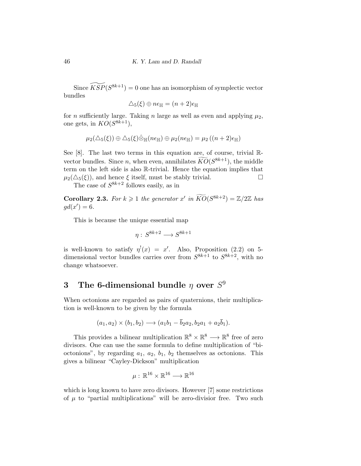Since  $\widetilde{KSP} (S^{8k+1}) = 0$  one has an isomorphism of symplectic vector bundles

$$
\Delta_5(\xi) \oplus n\epsilon_{\mathbb{H}} = (n+2)\epsilon_{\mathbb{H}}
$$

for *n* sufficiently large. Taking *n* large as well as even and applying  $\mu_2$ , one gets, in  $KO(S^{8k+1}),$ 

$$
\mu_2(\triangle_5(\xi)) \oplus \triangle_5(\xi) \hat{\otimes}_{\mathbb{H}}(n\epsilon_{\mathbb{H}}) \oplus \mu_2(n\epsilon_{\mathbb{H}}) = \mu_2((n+2)\epsilon_{\mathbb{H}})
$$

See [8]. The last two terms in this equation are, of course, trivial Rvector bundles. Since *n*, when even, annihilates  $\widetilde{KO}(S^{8k+1})$ , the middle term on the left side is also R-trivial. Hence the equation implies that  $\mu_2(\Delta_5(\xi))$ , and hence  $\xi$  itself, must be stably trivial.

The case of  $S^{8k+2}$  follows easily, as in

**Corollary 2.3.** For  $k \geq 1$  the generator  $x'$  in  $\widetilde{KO}(S^{8k+2}) = \mathbb{Z}/2\mathbb{Z}$  has  $gd(x')=6.$ 

This is because the unique essential map

$$
\eta: S^{8k+2} \longrightarrow S^{8k+1}
$$

is well-known to satisfy  $\eta'(x) = x'$ . Also, Proposition (2.2) on 5dimensional vector bundles carries over from  $S^{8k+1}$  to  $S^{8k+2}$ , with no change whatsoever.

## 3 The 6-dimensional bundle  $\eta$  over  $S^9$

When octonions are regarded as pairs of quaternions, their multiplication is well-known to be given by the formula

$$
(a_1, a_2) \times (b_1, b_2) \longrightarrow (a_1b_1 - \overline{b}_2a_2, b_2a_1 + a_2\overline{b}_1).
$$

This provides a bilinear multiplication  $\mathbb{R}^8 \times \mathbb{R}^8 \longrightarrow \mathbb{R}^8$  free of zero divisors. One can use the same formula to define multiplication of "bioctonions", by regarding  $a_1, a_2, b_1, b_2$  themselves as octonions. This gives a bilinear "Cayley-Dickson" multiplication

$$
\mu:\,\mathbb{R}^{16}\times\mathbb{R}^{16}\longrightarrow\mathbb{R}^{16}
$$

which is long known to have zero divisors. However [7] some restrictions of  $\mu$  to "partial multiplications" will be zero-divisior free. Two such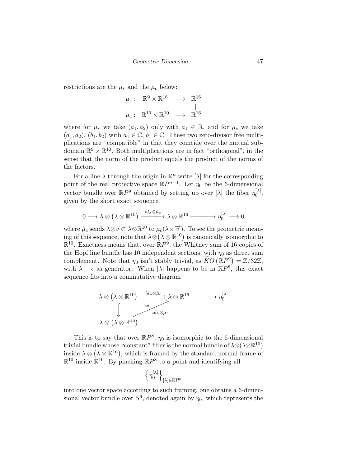restrictions are the  $\mu_r$  and the  $\mu_c$  below:

$$
\mu_r: \mathbb{R}^9 \times \mathbb{R}^{16} \longrightarrow \mathbb{R}^{16}
$$
  

$$
\mu_c: \mathbb{R}^{10} \times \mathbb{R}^{10} \longrightarrow \mathbb{R}^{16}
$$

where for  $\mu_r$  we take  $(a_1, a_2)$  only with  $a_1 \in \mathbb{R}$ , and for  $\mu_c$  we take  $(a_1, a_2), (b_1, b_2)$  with  $a_1 \in \mathbb{C}, b_1 \in \mathbb{C}$ . These two zero-divisor free multiplications are "compatible" in that they coincide over the mutual subdomain  $\mathbb{R}^9 \times \mathbb{R}^{10}$ . Both multiplications are in fact "orthogonal", in the sense that the norm of the product equals the product of the norms of the factors.

For a line  $\lambda$  through the origin in  $\mathbb{R}^n$  write  $[\lambda]$  for the corresponding point of the real projective space  $\mathbb{R}P^{n-1}$ . Let  $\eta_0$  be the 6-dimensional vector bundle over  $\mathbb{R}P^9$  obtained by setting up over  $[\lambda]$  the fiber  $\eta_0^{[\lambda]}$  $\begin{matrix} [\Delta] \ 0 \end{matrix}$ given by the short exact sequence

$$
0\longrightarrow\lambda\otimes\left(\lambda\otimes\mathbb{R}^{10}\right)\xrightarrow{id_{\lambda}\otimes\hat{\mu}_{c}}\lambda\otimes\mathbb{R}^{16}\xrightarrow{\qquad}\eta_{0}^{[\lambda]}\longrightarrow 0
$$

where  $\hat{\mu}_c$  sends  $\lambda \otimes \vec{v} \subset \lambda \otimes \mathbb{R}^{10}$  to  $\mu_c(\lambda \times \vec{v})$ . To see the geometric meaning of this sequence, note that  $\lambda \otimes (\lambda \otimes \mathbb{R}^{10})$  is canonically isomorphic to  $\mathbb{R}^{10}$ . Exactness means that, over  $\mathbb{R}P^{9}$ , the Whitney sum of 16 copies of the Hopf line bundle has 10 independent sections, with  $\eta_0$  as direct sum complement. Note that  $\eta_0$  isn't stably trivial, as  $\widetilde{KO}(\mathbb{R}P^9) = \mathbb{Z}/32\mathbb{Z}$ , with  $\lambda - \epsilon$  as generator. When  $[\lambda]$  happens to be in  $\mathbb{R}P^{8}$ , this exact sequence fits into a commutative diagram

$$
\lambda \otimes (\lambda \otimes \mathbb{R}^{10}) \xrightarrow{id_{\lambda} \otimes \hat{\mu}_{c}} \lambda \otimes \mathbb{R}^{16} \longrightarrow \eta_{0}^{[\lambda]}
$$

$$
\downarrow \qquad \qquad \downarrow \qquad \qquad \downarrow
$$

$$
\lambda \otimes (\lambda \otimes \mathbb{R}^{16})
$$

This is to say that over  $\mathbb{R}P^8$ ,  $\eta_0$  is isomorphic to the 6-dimensional trivial bundle whose "constant" fiber is the normal bundle of  $\lambda \otimes (\lambda \otimes \mathbb{R}^{10})$ inside  $\lambda \otimes (\lambda \otimes \mathbb{R}^{16})$ , which is framed by the standard normal frame of  $\mathbb{R}^{10}$  inside  $\mathbb{R}^{16}$ . By pinching  $\mathbb{R}P^8$  to a point and identifying all

$$
\left\{\eta^{[\lambda]}_0\right\}_{[\lambda] \in \mathbb{R}P^8}
$$

into one vector space according to such framing, one obtains a 6-dimensional vector bundle over  $S^9$ , denoted again by  $\eta_0$ , which represents the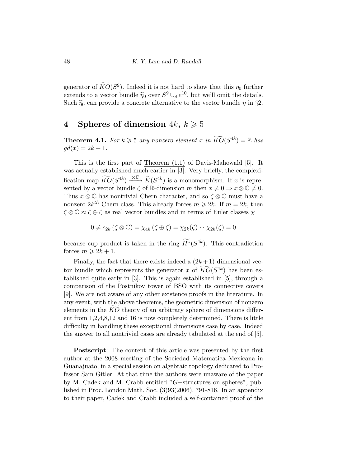generator of  $\widehat{KO}(S^9)$ . Indeed it is not hard to show that this  $\eta_0$  further extends to a vector bundle  $\tilde{\eta}_0$  over  $S^9 \cup s e^{10}$ , but we'll omit the details.<br>Such  $\tilde{\kappa}_1$  can provide a congrete alternative to the vector bundle g in  $\tilde{s}_2$ Such  $\tilde{\eta}_0$  can provide a concrete alternative to the vector bundle  $\eta$  in §2.

## 4 Spheres of dimension  $4k, k \ge 5$

**Theorem 4.1.** For  $k \ge 5$  any nonzero element x in  $\widetilde{KO}(S^{4k}) = \mathbb{Z}$  has  $gd(x) = 2k + 1.$ 

This is the first part of Theorem (1.1) of Davis-Mahowald [5]. It was actually established much earlier in [3]. Very briefly, the complexification map  $\widetilde{KO}(S^{4k}) \stackrel{\otimes \mathbb{C}}{\longrightarrow} \widetilde{K}(S^{4k})$  is a monomorphism. If x is represented by a vector bundle  $\zeta$  of R-dimension m then  $x \neq 0 \Rightarrow x \otimes \mathbb{C} \neq 0$ . Thus  $x \otimes \mathbb{C}$  has nontrivial Chern character, and so  $\zeta \otimes \mathbb{C}$  must have a nonzero  $2k^{th}$  Chern class. This already forces  $m \geq 2k$ . If  $m = 2k$ , then  $\zeta \otimes \mathbb{C} \approx \zeta \oplus \zeta$  as real vector bundles and in terms of Euler classes  $\chi$ 

$$
0 \neq c_{2k} (\zeta \otimes \mathbb{C}) = \chi_{4k} (\zeta \oplus \zeta) = \chi_{2k} (\zeta) \smile \chi_{2k} (\zeta) = 0
$$

because cup product is taken in the ring  $\widetilde{H}^*(S^{4k})$ . This contradiction forces  $m \geq 2k + 1$ .

Finally, the fact that there exists indeed a  $(2k+1)$ -dimensional vector bundle which represents the generator x of  $\widehat{KO}(S^{4k})$  has been established quite early in [3]. This is again established in [5], through a comparison of the Postnikov tower of BSO with its connective covers [9]. We are not aware of any other existence proofs in the literature. In any event, with the above theorems, the geometric dimension of nonzero elements in the  $KO$  theory of an arbitrary sphere of dimensions different from 1,2,4,8,12 and 16 is now completely determined. There is little difficulty in handling these exceptional dimensions case by case. Indeed the answer to all nontrivial cases are already tabulated at the end of [5].

Postscript: The content of this article was presented by the first author at the 2008 meeting of the Sociedad Matematica Mexicana in Guanajuato, in a special session on algebraic topology dedicated to Professor Sam Gitler. At that time the authors were unaware of the paper by M. Cadek and M. Crabb entitled "G−structures on spheres", published in Proc. London Math. Soc. (3)93(2006), 791-816. In an appendix to their paper, Cadek and Crabb included a self-contained proof of the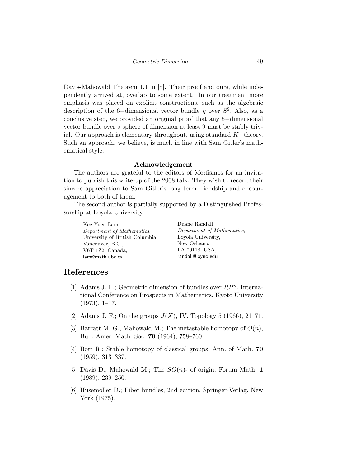Davis-Mahowald Theorem 1.1 in [5]. Their proof and ours, while independently arrived at, overlap to some extent. In our treatment more emphasis was placed on explicit constructions, such as the algebraic description of the 6-dimensional vector bundle  $\eta$  over  $S^9$ . Also, as a conclusive step, we provided an original proof that any 5−dimensional vector bundle over a sphere of dimension at least 9 must be stably trivial. Our approach is elementary throughout, using standard  $K$ −theory. Such an approach, we believe, is much in line with Sam Gitler's mathematical style.

#### Acknowledgement

The authors are grateful to the editors of Morfismos for an invitation to publish this write-up of the 2008 talk. They wish to record their sincere appreciation to Sam Gitler's long term friendship and encouragement to both of them.

The second author is partially supported by a Distinguished Professorship at Loyola University.

Kee Yuen Lam Department of Mathematics, University of British Columbia, Vancouver, B.C., V6T 1Z2, Canada, lam@math.ubc.ca

Duane Randall Department of Mathematics, Loyola University, New Orleans, LA 70118, USA, randall@loyno.edu

### References

- [1] Adams J. F.; Geometric dimension of bundles over  $RP^n$ , International Conference on Prospects in Mathematics, Kyoto University  $(1973), 1-17.$
- [2] Adams J. F.; On the groups  $J(X)$ , IV. Topology 5 (1966), 21–71.
- [3] Barratt M. G., Mahowald M.; The metastable homotopy of  $O(n)$ , Bull. Amer. Math. Soc. 70 (1964), 758–760.
- [4] Bott R.; Stable homotopy of classical groups, Ann. of Math. 70 (1959), 313–337.
- [5] Davis D., Mahowald M.; The  $SO(n)$  of origin, Forum Math. 1 (1989), 239–250.
- [6] Husemoller D.; Fiber bundles, 2nd edition, Springer-Verlag, New York (1975).